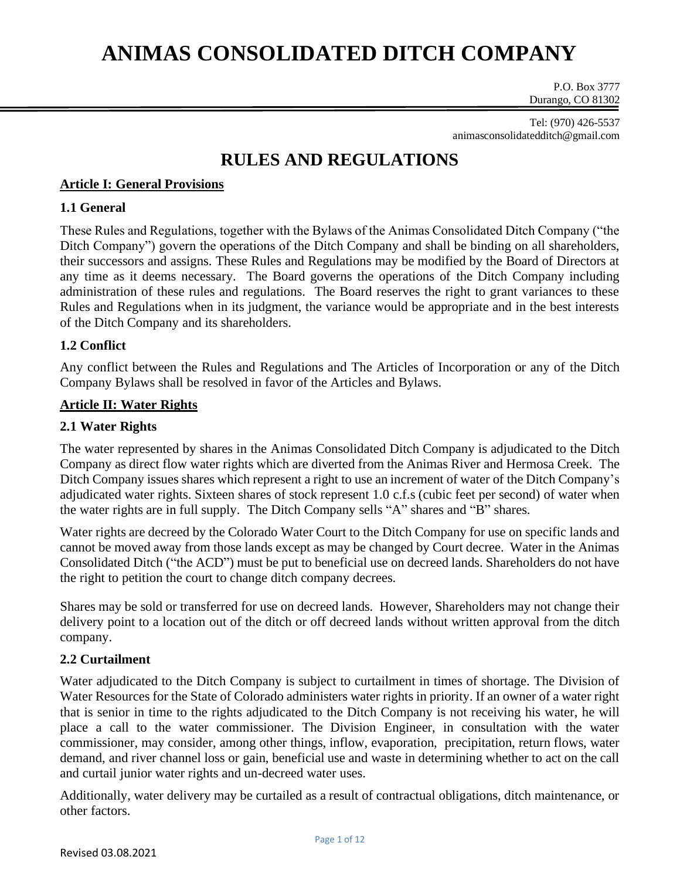P.O. Box 3777 Durango, CO 81302

Tel: (970) 426-5537 animasconsolidatedditch@gmail.com

### **RULES AND REGULATIONS**

### **Article I: General Provisions**

### **1.1 General**

These Rules and Regulations, together with the Bylaws of the Animas Consolidated Ditch Company ("the Ditch Company") govern the operations of the Ditch Company and shall be binding on all shareholders, their successors and assigns. These Rules and Regulations may be modified by the Board of Directors at any time as it deems necessary. The Board governs the operations of the Ditch Company including administration of these rules and regulations. The Board reserves the right to grant variances to these Rules and Regulations when in its judgment, the variance would be appropriate and in the best interests of the Ditch Company and its shareholders.

### **1.2 Conflict**

Any conflict between the Rules and Regulations and The Articles of Incorporation or any of the Ditch Company Bylaws shall be resolved in favor of the Articles and Bylaws.

#### **Article II: Water Rights**

### **2.1 Water Rights**

The water represented by shares in the Animas Consolidated Ditch Company is adjudicated to the Ditch Company as direct flow water rights which are diverted from the Animas River and Hermosa Creek. The Ditch Company issues shares which represent a right to use an increment of water of the Ditch Company's adjudicated water rights. Sixteen shares of stock represent 1.0 c.f.s (cubic feet per second) of water when the water rights are in full supply. The Ditch Company sells "A" shares and "B" shares.

Water rights are decreed by the Colorado Water Court to the Ditch Company for use on specific lands and cannot be moved away from those lands except as may be changed by Court decree. Water in the Animas Consolidated Ditch ("the ACD") must be put to beneficial use on decreed lands. Shareholders do not have the right to petition the court to change ditch company decrees.

Shares may be sold or transferred for use on decreed lands. However, Shareholders may not change their delivery point to a location out of the ditch or off decreed lands without written approval from the ditch company.

#### **2.2 Curtailment**

Water adjudicated to the Ditch Company is subject to curtailment in times of shortage. The Division of Water Resources for the State of Colorado administers water rights in priority. If an owner of a water right that is senior in time to the rights adjudicated to the Ditch Company is not receiving his water, he will place a call to the water commissioner. The Division Engineer, in consultation with the water commissioner, may consider, among other things, inflow, evaporation, precipitation, return flows, water demand, and river channel loss or gain, beneficial use and waste in determining whether to act on the call and curtail junior water rights and un-decreed water uses.

Additionally, water delivery may be curtailed as a result of contractual obligations, ditch maintenance, or other factors.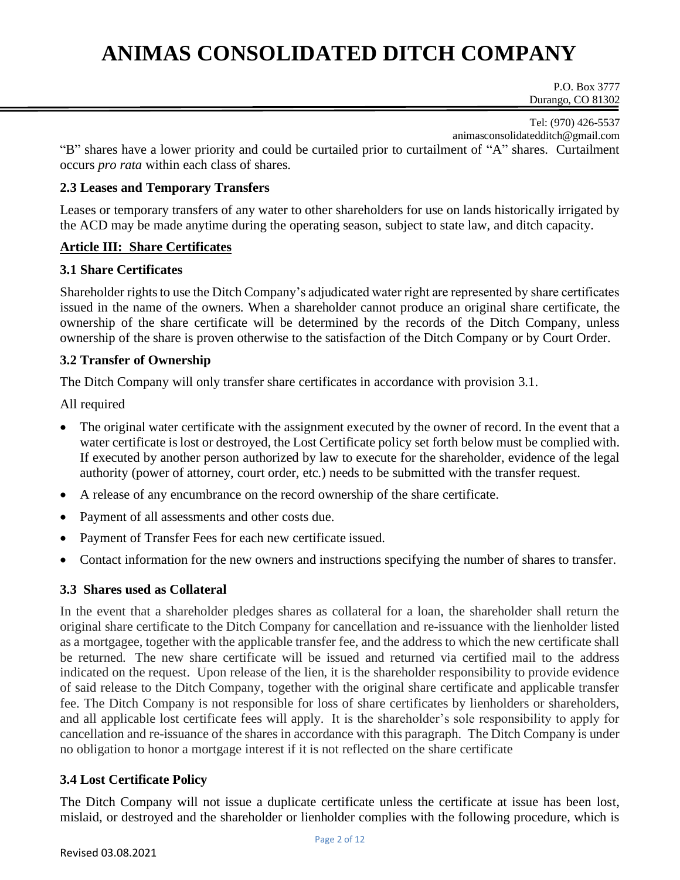P.O. Box 3777 Durango, CO 81302

Tel: (970) 426-5537 animasconsolidatedditch@gmail.com

"B" shares have a lower priority and could be curtailed prior to curtailment of "A" shares. Curtailment occurs *pro rata* within each class of shares.

### **2.3 Leases and Temporary Transfers**

Leases or temporary transfers of any water to other shareholders for use on lands historically irrigated by the ACD may be made anytime during the operating season, subject to state law, and ditch capacity.

### **Article III: Share Certificates**

#### **3.1 Share Certificates**

Shareholder rights to use the Ditch Company's adjudicated water right are represented by share certificates issued in the name of the owners. When a shareholder cannot produce an original share certificate, the ownership of the share certificate will be determined by the records of the Ditch Company, unless ownership of the share is proven otherwise to the satisfaction of the Ditch Company or by Court Order.

### **3.2 Transfer of Ownership**

The Ditch Company will only transfer share certificates in accordance with provision 3.1.

All required

- The original water certificate with the assignment executed by the owner of record. In the event that a water certificate is lost or destroyed, the Lost Certificate policy set forth below must be complied with. If executed by another person authorized by law to execute for the shareholder, evidence of the legal authority (power of attorney, court order, etc.) needs to be submitted with the transfer request.
- A release of any encumbrance on the record ownership of the share certificate.
- Payment of all assessments and other costs due.
- Payment of Transfer Fees for each new certificate issued.
- Contact information for the new owners and instructions specifying the number of shares to transfer.

### **3.3 Shares used as Collateral**

In the event that a shareholder pledges shares as collateral for a loan, the shareholder shall return the original share certificate to the Ditch Company for cancellation and re-issuance with the lienholder listed as a mortgagee, together with the applicable transfer fee, and the address to which the new certificate shall be returned. The new share certificate will be issued and returned via certified mail to the address indicated on the request. Upon release of the lien, it is the shareholder responsibility to provide evidence of said release to the Ditch Company, together with the original share certificate and applicable transfer fee. The Ditch Company is not responsible for loss of share certificates by lienholders or shareholders, and all applicable lost certificate fees will apply. It is the shareholder's sole responsibility to apply for cancellation and re-issuance of the shares in accordance with this paragraph. The Ditch Company is under no obligation to honor a mortgage interest if it is not reflected on the share certificate

### **3.4 Lost Certificate Policy**

The Ditch Company will not issue a duplicate certificate unless the certificate at issue has been lost, mislaid, or destroyed and the shareholder or lienholder complies with the following procedure, which is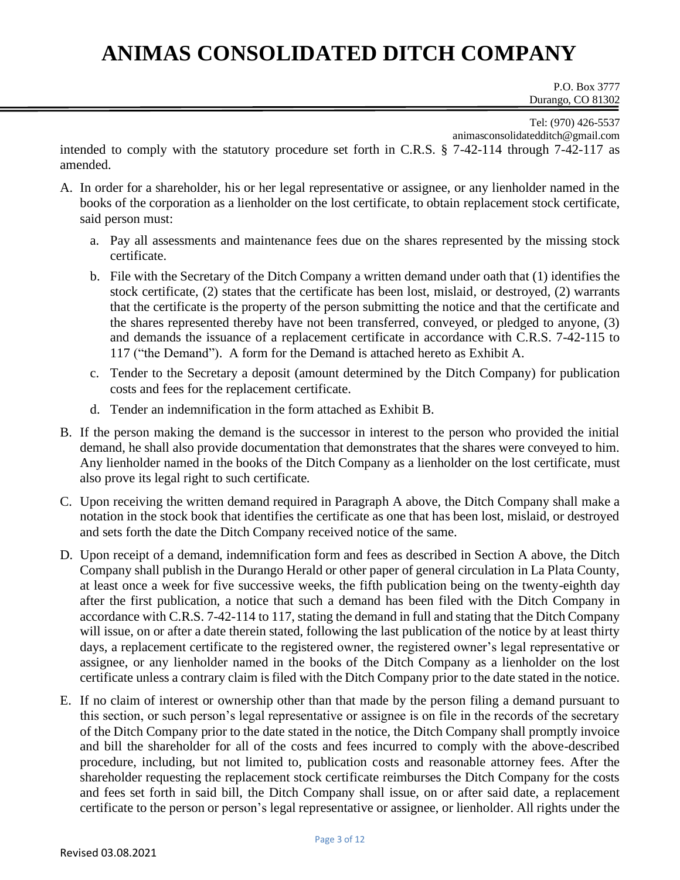P.O. Box 3777 Durango, CO 81302

Tel: (970) 426-5537

animasconsolidatedditch@gmail.com

intended to comply with the statutory procedure set forth in C.R.S. § 7-42-114 through 7-42-117 as amended.

- A. In order for a shareholder, his or her legal representative or assignee, or any lienholder named in the books of the corporation as a lienholder on the lost certificate, to obtain replacement stock certificate, said person must:
	- a. Pay all assessments and maintenance fees due on the shares represented by the missing stock certificate.
	- b. File with the Secretary of the Ditch Company a written demand under oath that (1) identifies the stock certificate, (2) states that the certificate has been lost, mislaid, or destroyed, (2) warrants that the certificate is the property of the person submitting the notice and that the certificate and the shares represented thereby have not been transferred, conveyed, or pledged to anyone, (3) and demands the issuance of a replacement certificate in accordance with C.R.S. 7-42-115 to 117 ("the Demand"). A form for the Demand is attached hereto as Exhibit A.
	- c. Tender to the Secretary a deposit (amount determined by the Ditch Company) for publication costs and fees for the replacement certificate.
	- d. Tender an indemnification in the form attached as Exhibit B.
- B. If the person making the demand is the successor in interest to the person who provided the initial demand, he shall also provide documentation that demonstrates that the shares were conveyed to him. Any lienholder named in the books of the Ditch Company as a lienholder on the lost certificate, must also prove its legal right to such certificate.
- C. Upon receiving the written demand required in Paragraph A above, the Ditch Company shall make a notation in the stock book that identifies the certificate as one that has been lost, mislaid, or destroyed and sets forth the date the Ditch Company received notice of the same.
- D. Upon receipt of a demand, indemnification form and fees as described in Section A above, the Ditch Company shall publish in the Durango Herald or other paper of general circulation in La Plata County, at least once a week for five successive weeks, the fifth publication being on the twenty-eighth day after the first publication, a notice that such a demand has been filed with the Ditch Company in accordance with C.R.S. 7-42-114 to 117, stating the demand in full and stating that the Ditch Company will issue, on or after a date therein stated, following the last publication of the notice by at least thirty days, a replacement certificate to the registered owner, the registered owner's legal representative or assignee, or any lienholder named in the books of the Ditch Company as a lienholder on the lost certificate unless a contrary claim is filed with the Ditch Company prior to the date stated in the notice.
- E. If no claim of interest or ownership other than that made by the person filing a demand pursuant to this section, or such person's legal representative or assignee is on file in the records of the secretary of the Ditch Company prior to the date stated in the notice, the Ditch Company shall promptly invoice and bill the shareholder for all of the costs and fees incurred to comply with the above-described procedure, including, but not limited to, publication costs and reasonable attorney fees. After the shareholder requesting the replacement stock certificate reimburses the Ditch Company for the costs and fees set forth in said bill, the Ditch Company shall issue, on or after said date, a replacement certificate to the person or person's legal representative or assignee, or lienholder. All rights under the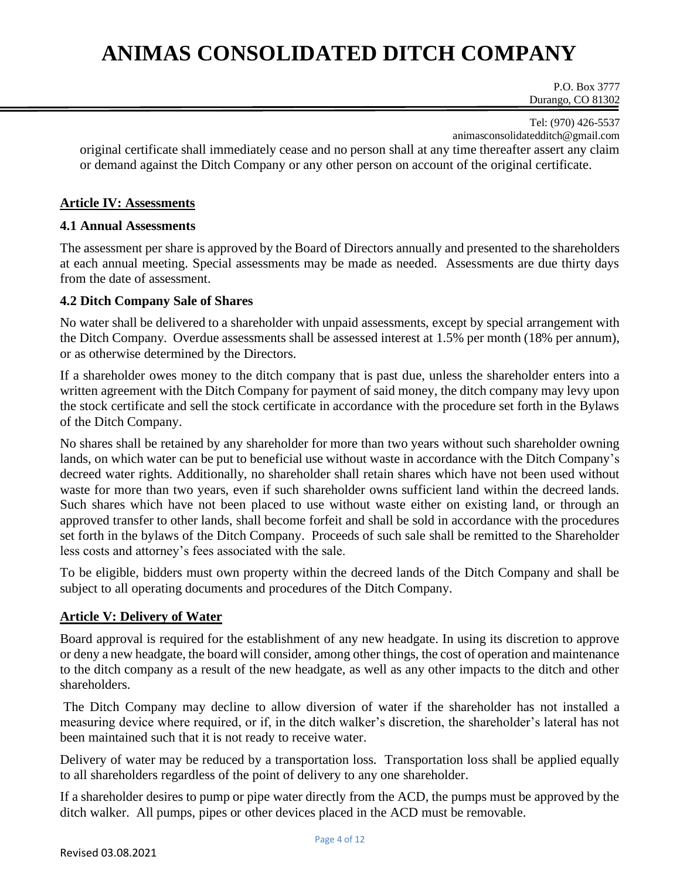P.O. Box 3777 Durango, CO 81302

Tel: (970) 426-5537 animasconsolidatedditch@gmail.com

original certificate shall immediately cease and no person shall at any time thereafter assert any claim or demand against the Ditch Company or any other person on account of the original certificate.

#### **Article IV: Assessments**

#### **4.1 Annual Assessments**

The assessment per share is approved by the Board of Directors annually and presented to the shareholders at each annual meeting. Special assessments may be made as needed. Assessments are due thirty days from the date of assessment.

#### **4.2 Ditch Company Sale of Shares**

No water shall be delivered to a shareholder with unpaid assessments, except by special arrangement with the Ditch Company. Overdue assessments shall be assessed interest at 1.5% per month (18% per annum), or as otherwise determined by the Directors.

If a shareholder owes money to the ditch company that is past due, unless the shareholder enters into a written agreement with the Ditch Company for payment of said money, the ditch company may levy upon the stock certificate and sell the stock certificate in accordance with the procedure set forth in the Bylaws of the Ditch Company.

No shares shall be retained by any shareholder for more than two years without such shareholder owning lands, on which water can be put to beneficial use without waste in accordance with the Ditch Company's decreed water rights. Additionally, no shareholder shall retain shares which have not been used without waste for more than two years, even if such shareholder owns sufficient land within the decreed lands. Such shares which have not been placed to use without waste either on existing land, or through an approved transfer to other lands, shall become forfeit and shall be sold in accordance with the procedures set forth in the bylaws of the Ditch Company. Proceeds of such sale shall be remitted to the Shareholder less costs and attorney's fees associated with the sale.

To be eligible, bidders must own property within the decreed lands of the Ditch Company and shall be subject to all operating documents and procedures of the Ditch Company.

#### **Article V: Delivery of Water**

Board approval is required for the establishment of any new headgate. In using its discretion to approve or deny a new headgate, the board will consider, among other things, the cost of operation and maintenance to the ditch company as a result of the new headgate, as well as any other impacts to the ditch and other shareholders.

The Ditch Company may decline to allow diversion of water if the shareholder has not installed a measuring device where required, or if, in the ditch walker's discretion, the shareholder's lateral has not been maintained such that it is not ready to receive water.

Delivery of water may be reduced by a transportation loss. Transportation loss shall be applied equally to all shareholders regardless of the point of delivery to any one shareholder.

If a shareholder desires to pump or pipe water directly from the ACD, the pumps must be approved by the ditch walker. All pumps, pipes or other devices placed in the ACD must be removable.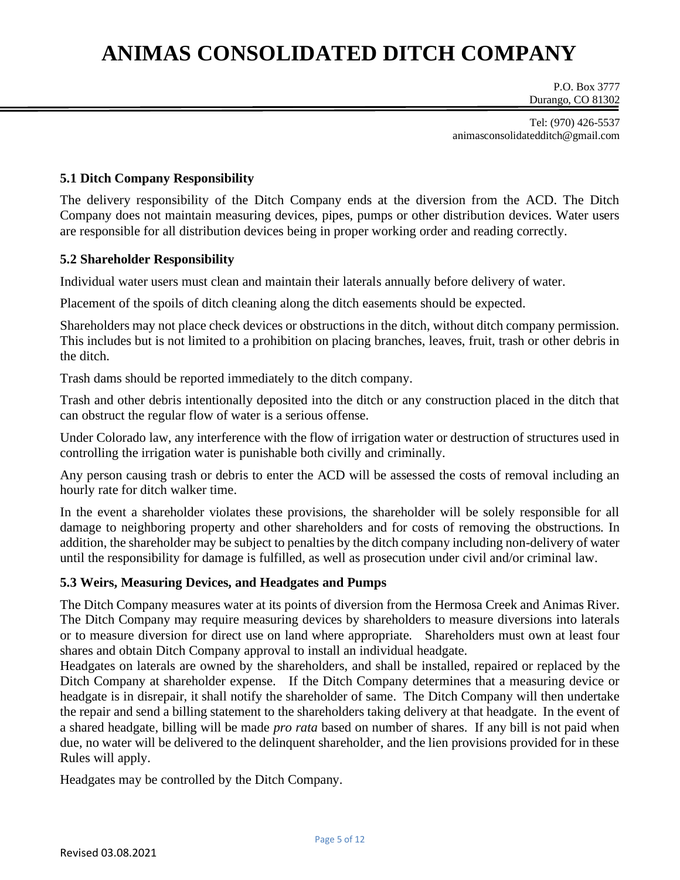P.O. Box 3777 Durango, CO 81302

Tel: (970) 426-5537 animasconsolidatedditch@gmail.com

#### **5.1 Ditch Company Responsibility**

The delivery responsibility of the Ditch Company ends at the diversion from the ACD. The Ditch Company does not maintain measuring devices, pipes, pumps or other distribution devices. Water users are responsible for all distribution devices being in proper working order and reading correctly.

#### **5.2 Shareholder Responsibility**

Individual water users must clean and maintain their laterals annually before delivery of water.

Placement of the spoils of ditch cleaning along the ditch easements should be expected.

Shareholders may not place check devices or obstructions in the ditch, without ditch company permission. This includes but is not limited to a prohibition on placing branches, leaves, fruit, trash or other debris in the ditch.

Trash dams should be reported immediately to the ditch company.

Trash and other debris intentionally deposited into the ditch or any construction placed in the ditch that can obstruct the regular flow of water is a serious offense.

Under Colorado law, any interference with the flow of irrigation water or destruction of structures used in controlling the irrigation water is punishable both civilly and criminally.

Any person causing trash or debris to enter the ACD will be assessed the costs of removal including an hourly rate for ditch walker time.

In the event a shareholder violates these provisions, the shareholder will be solely responsible for all damage to neighboring property and other shareholders and for costs of removing the obstructions. In addition, the shareholder may be subject to penalties by the ditch company including non-delivery of water until the responsibility for damage is fulfilled, as well as prosecution under civil and/or criminal law.

#### **5.3 Weirs, Measuring Devices, and Headgates and Pumps**

The Ditch Company measures water at its points of diversion from the Hermosa Creek and Animas River. The Ditch Company may require measuring devices by shareholders to measure diversions into laterals or to measure diversion for direct use on land where appropriate. Shareholders must own at least four shares and obtain Ditch Company approval to install an individual headgate.

Headgates on laterals are owned by the shareholders, and shall be installed, repaired or replaced by the Ditch Company at shareholder expense. If the Ditch Company determines that a measuring device or headgate is in disrepair, it shall notify the shareholder of same. The Ditch Company will then undertake the repair and send a billing statement to the shareholders taking delivery at that headgate. In the event of a shared headgate, billing will be made *pro rata* based on number of shares. If any bill is not paid when due, no water will be delivered to the delinquent shareholder, and the lien provisions provided for in these Rules will apply.

Headgates may be controlled by the Ditch Company.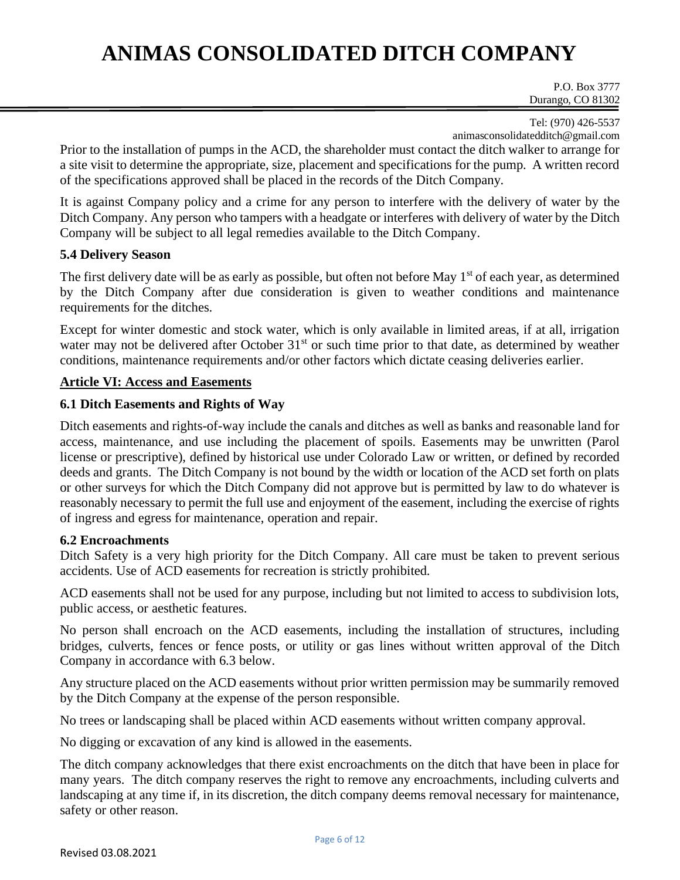P.O. Box 3777 Durango, CO 81302

Tel: (970) 426-5537 animasconsolidatedditch@gmail.com

Prior to the installation of pumps in the ACD, the shareholder must contact the ditch walker to arrange for a site visit to determine the appropriate, size, placement and specifications for the pump. A written record of the specifications approved shall be placed in the records of the Ditch Company.

It is against Company policy and a crime for any person to interfere with the delivery of water by the Ditch Company. Any person who tampers with a headgate or interferes with delivery of water by the Ditch Company will be subject to all legal remedies available to the Ditch Company.

#### **5.4 Delivery Season**

The first delivery date will be as early as possible, but often not before May 1<sup>st</sup> of each year, as determined by the Ditch Company after due consideration is given to weather conditions and maintenance requirements for the ditches.

Except for winter domestic and stock water, which is only available in limited areas, if at all, irrigation water may not be delivered after October 31<sup>st</sup> or such time prior to that date, as determined by weather conditions, maintenance requirements and/or other factors which dictate ceasing deliveries earlier.

#### **Article VI: Access and Easements**

#### **6.1 Ditch Easements and Rights of Way**

Ditch easements and rights-of-way include the canals and ditches as well as banks and reasonable land for access, maintenance, and use including the placement of spoils. Easements may be unwritten (Parol license or prescriptive), defined by historical use under Colorado Law or written, or defined by recorded deeds and grants. The Ditch Company is not bound by the width or location of the ACD set forth on plats or other surveys for which the Ditch Company did not approve but is permitted by law to do whatever is reasonably necessary to permit the full use and enjoyment of the easement, including the exercise of rights of ingress and egress for maintenance, operation and repair.

#### **6.2 Encroachments**

Ditch Safety is a very high priority for the Ditch Company. All care must be taken to prevent serious accidents. Use of ACD easements for recreation is strictly prohibited.

ACD easements shall not be used for any purpose, including but not limited to access to subdivision lots, public access, or aesthetic features.

No person shall encroach on the ACD easements, including the installation of structures, including bridges, culverts, fences or fence posts, or utility or gas lines without written approval of the Ditch Company in accordance with 6.3 below.

Any structure placed on the ACD easements without prior written permission may be summarily removed by the Ditch Company at the expense of the person responsible.

No trees or landscaping shall be placed within ACD easements without written company approval.

No digging or excavation of any kind is allowed in the easements.

The ditch company acknowledges that there exist encroachments on the ditch that have been in place for many years. The ditch company reserves the right to remove any encroachments, including culverts and landscaping at any time if, in its discretion, the ditch company deems removal necessary for maintenance, safety or other reason.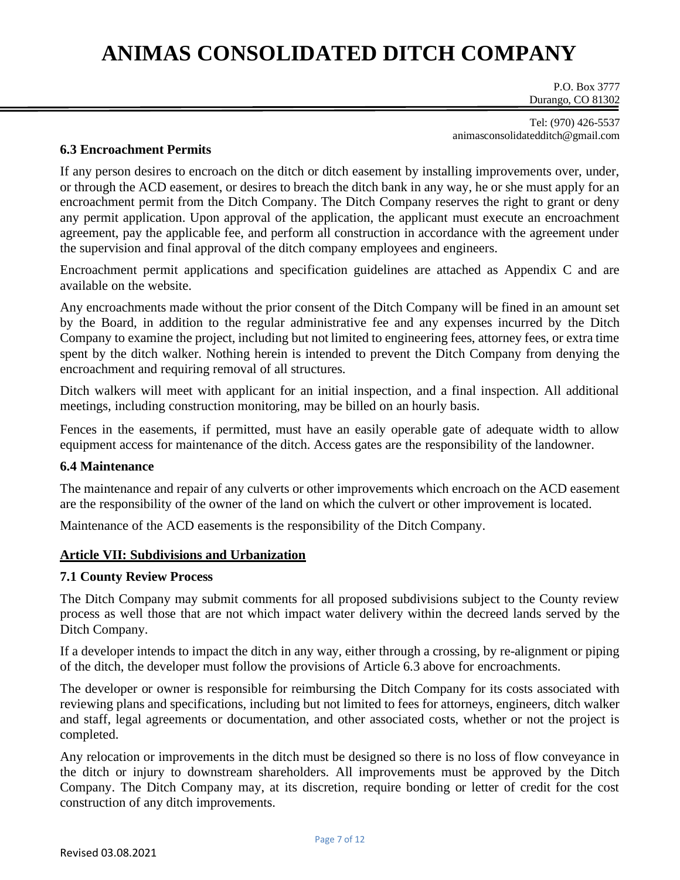P.O. Box 3777 Durango, CO 81302

Tel: (970) 426-5537 animasconsolidatedditch@gmail.com

#### **6.3 Encroachment Permits**

If any person desires to encroach on the ditch or ditch easement by installing improvements over, under, or through the ACD easement, or desires to breach the ditch bank in any way, he or she must apply for an encroachment permit from the Ditch Company. The Ditch Company reserves the right to grant or deny any permit application. Upon approval of the application, the applicant must execute an encroachment agreement, pay the applicable fee, and perform all construction in accordance with the agreement under the supervision and final approval of the ditch company employees and engineers.

Encroachment permit applications and specification guidelines are attached as Appendix C and are available on the website.

Any encroachments made without the prior consent of the Ditch Company will be fined in an amount set by the Board, in addition to the regular administrative fee and any expenses incurred by the Ditch Company to examine the project, including but not limited to engineering fees, attorney fees, or extra time spent by the ditch walker. Nothing herein is intended to prevent the Ditch Company from denying the encroachment and requiring removal of all structures.

Ditch walkers will meet with applicant for an initial inspection, and a final inspection. All additional meetings, including construction monitoring, may be billed on an hourly basis.

Fences in the easements, if permitted, must have an easily operable gate of adequate width to allow equipment access for maintenance of the ditch. Access gates are the responsibility of the landowner.

#### **6.4 Maintenance**

The maintenance and repair of any culverts or other improvements which encroach on the ACD easement are the responsibility of the owner of the land on which the culvert or other improvement is located.

Maintenance of the ACD easements is the responsibility of the Ditch Company.

#### **Article VII: Subdivisions and Urbanization**

#### **7.1 County Review Process**

The Ditch Company may submit comments for all proposed subdivisions subject to the County review process as well those that are not which impact water delivery within the decreed lands served by the Ditch Company.

If a developer intends to impact the ditch in any way, either through a crossing, by re-alignment or piping of the ditch, the developer must follow the provisions of Article 6.3 above for encroachments.

The developer or owner is responsible for reimbursing the Ditch Company for its costs associated with reviewing plans and specifications, including but not limited to fees for attorneys, engineers, ditch walker and staff, legal agreements or documentation, and other associated costs, whether or not the project is completed.

Any relocation or improvements in the ditch must be designed so there is no loss of flow conveyance in the ditch or injury to downstream shareholders. All improvements must be approved by the Ditch Company. The Ditch Company may, at its discretion, require bonding or letter of credit for the cost construction of any ditch improvements.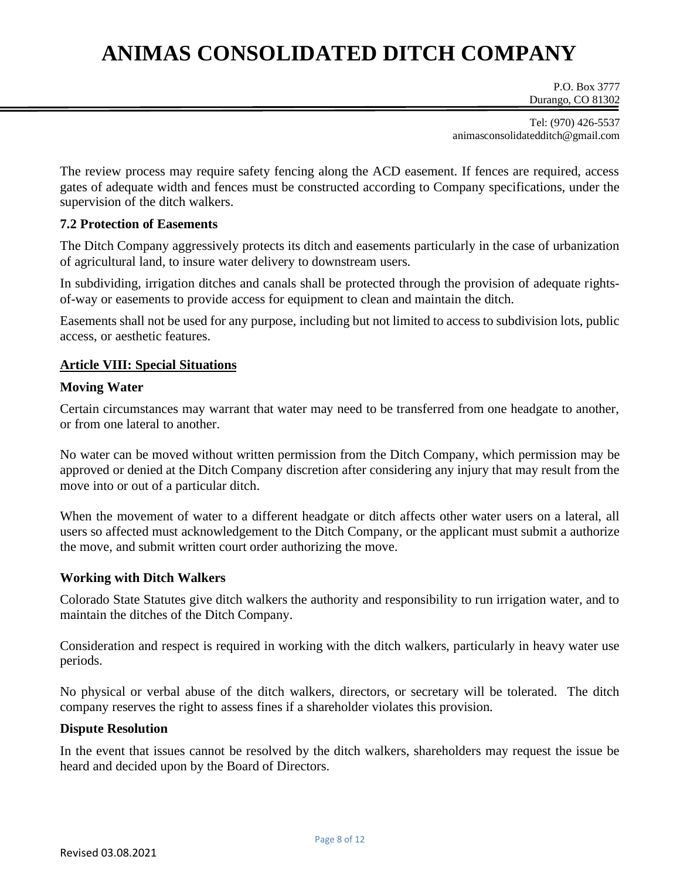P.O. Box 3777 Durango, CO 81302

Tel: (970) 426-5537 animasconsolidatedditch@gmail.com

The review process may require safety fencing along the ACD easement. If fences are required, access gates of adequate width and fences must be constructed according to Company specifications, under the supervision of the ditch walkers.

#### **7.2 Protection of Easements**

The Ditch Company aggressively protects its ditch and easements particularly in the case of urbanization of agricultural land, to insure water delivery to downstream users.

In subdividing, irrigation ditches and canals shall be protected through the provision of adequate rightsof-way or easements to provide access for equipment to clean and maintain the ditch.

Easements shall not be used for any purpose, including but not limited to access to subdivision lots, public access, or aesthetic features.

#### **Article VIII: Special Situations**

#### **Moving Water**

Certain circumstances may warrant that water may need to be transferred from one headgate to another, or from one lateral to another.

No water can be moved without written permission from the Ditch Company, which permission may be approved or denied at the Ditch Company discretion after considering any injury that may result from the move into or out of a particular ditch.

When the movement of water to a different headgate or ditch affects other water users on a lateral, all users so affected must acknowledgement to the Ditch Company, or the applicant must submit a authorize the move, and submit written court order authorizing the move.

#### **Working with Ditch Walkers**

Colorado State Statutes give ditch walkers the authority and responsibility to run irrigation water, and to maintain the ditches of the Ditch Company.

Consideration and respect is required in working with the ditch walkers, particularly in heavy water use periods.

No physical or verbal abuse of the ditch walkers, directors, or secretary will be tolerated. The ditch company reserves the right to assess fines if a shareholder violates this provision.

#### **Dispute Resolution**

In the event that issues cannot be resolved by the ditch walkers, shareholders may request the issue be heard and decided upon by the Board of Directors.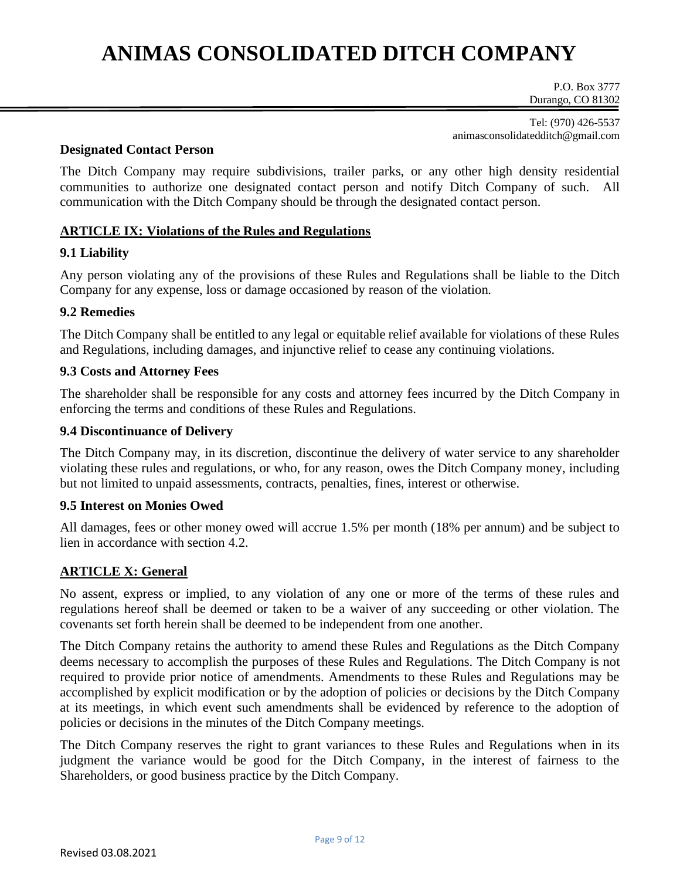P.O. Box 3777 Durango, CO 81302

Tel: (970) 426-5537 animasconsolidatedditch@gmail.com

#### **Designated Contact Person**

The Ditch Company may require subdivisions, trailer parks, or any other high density residential communities to authorize one designated contact person and notify Ditch Company of such. All communication with the Ditch Company should be through the designated contact person.

#### **ARTICLE IX: Violations of the Rules and Regulations**

#### **9.1 Liability**

Any person violating any of the provisions of these Rules and Regulations shall be liable to the Ditch Company for any expense, loss or damage occasioned by reason of the violation.

### **9.2 Remedies**

The Ditch Company shall be entitled to any legal or equitable relief available for violations of these Rules and Regulations, including damages, and injunctive relief to cease any continuing violations.

#### **9.3 Costs and Attorney Fees**

The shareholder shall be responsible for any costs and attorney fees incurred by the Ditch Company in enforcing the terms and conditions of these Rules and Regulations.

#### **9.4 Discontinuance of Delivery**

The Ditch Company may, in its discretion, discontinue the delivery of water service to any shareholder violating these rules and regulations, or who, for any reason, owes the Ditch Company money, including but not limited to unpaid assessments, contracts, penalties, fines, interest or otherwise.

#### **9.5 Interest on Monies Owed**

All damages, fees or other money owed will accrue 1.5% per month (18% per annum) and be subject to lien in accordance with section 4.2.

#### **ARTICLE X: General**

No assent, express or implied, to any violation of any one or more of the terms of these rules and regulations hereof shall be deemed or taken to be a waiver of any succeeding or other violation. The covenants set forth herein shall be deemed to be independent from one another.

The Ditch Company retains the authority to amend these Rules and Regulations as the Ditch Company deems necessary to accomplish the purposes of these Rules and Regulations. The Ditch Company is not required to provide prior notice of amendments. Amendments to these Rules and Regulations may be accomplished by explicit modification or by the adoption of policies or decisions by the Ditch Company at its meetings, in which event such amendments shall be evidenced by reference to the adoption of policies or decisions in the minutes of the Ditch Company meetings.

The Ditch Company reserves the right to grant variances to these Rules and Regulations when in its judgment the variance would be good for the Ditch Company, in the interest of fairness to the Shareholders, or good business practice by the Ditch Company.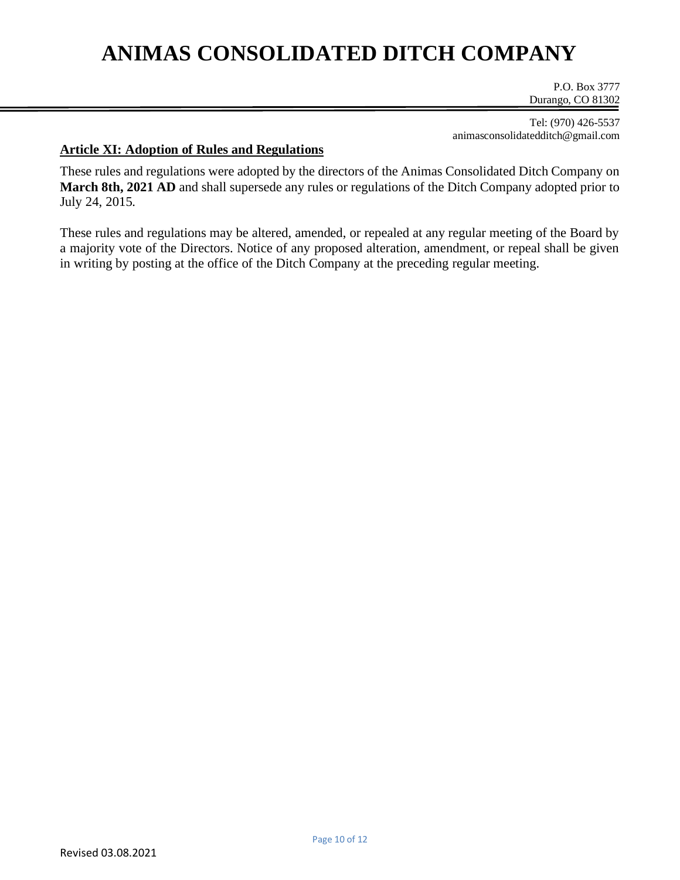P.O. Box 3777 Durango, CO 81302

Tel: (970) 426-5537 animasconsolidatedditch@gmail.com

#### **Article XI: Adoption of Rules and Regulations**

These rules and regulations were adopted by the directors of the Animas Consolidated Ditch Company on **March 8th, 2021 AD** and shall supersede any rules or regulations of the Ditch Company adopted prior to July 24, 2015.

These rules and regulations may be altered, amended, or repealed at any regular meeting of the Board by a majority vote of the Directors. Notice of any proposed alteration, amendment, or repeal shall be given in writing by posting at the office of the Ditch Company at the preceding regular meeting.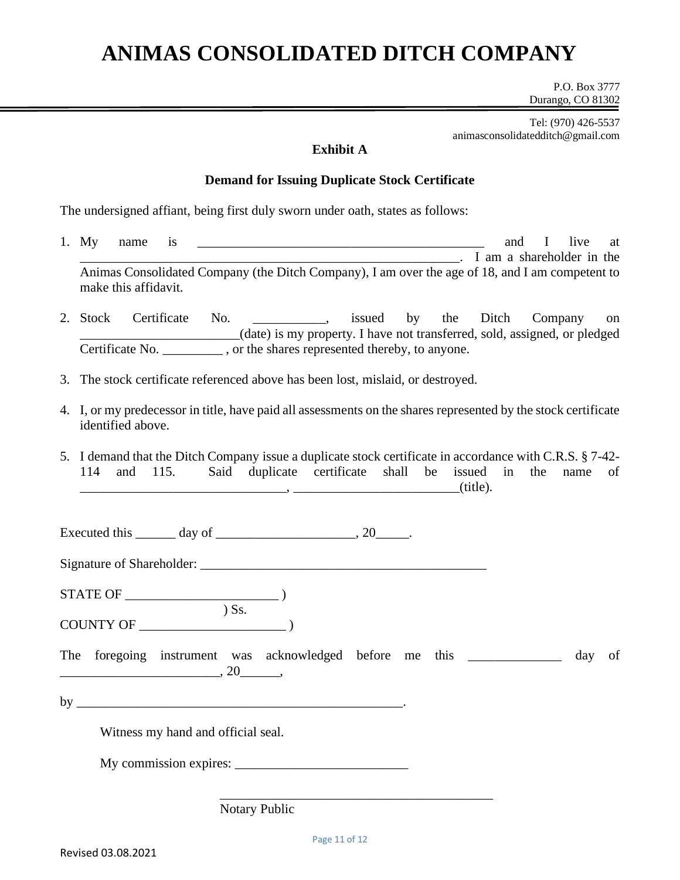P.O. Box 3777 Durango, CO 81302

Tel: (970) 426-5537 animasconsolidatedditch@gmail.com

### **Exhibit A**

#### **Demand for Issuing Duplicate Stock Certificate**

The undersigned affiant, being first duly sworn under oath, states as follows:

- 1. My name is \_\_\_\_\_\_\_\_\_\_\_\_\_\_\_\_\_\_\_\_\_\_\_\_\_\_\_\_\_\_\_\_\_\_\_\_\_\_\_\_\_\_\_ and I live at \_\_\_\_\_\_\_\_\_\_\_\_\_\_\_\_\_\_\_\_\_\_\_\_\_\_\_\_\_\_\_\_\_\_\_\_\_\_\_\_\_\_\_\_\_\_\_\_\_\_\_\_\_\_\_\_\_. I am a shareholder in the Animas Consolidated Company (the Ditch Company), I am over the age of 18, and I am competent to make this affidavit.
- 2. Stock Certificate No.  $\qquad \qquad$ , issued by the Ditch Company on \_\_\_\_\_\_\_\_\_\_\_\_\_\_\_\_\_\_\_\_\_\_\_\_(date) is my property. I have not transferred, sold, assigned, or pledged Certificate No.  $\qquad \qquad$ , or the shares represented thereby, to anyone.
- 3. The stock certificate referenced above has been lost, mislaid, or destroyed.
- 4. I, or my predecessor in title, have paid all assessments on the shares represented by the stock certificate identified above.
- 5. I demand that the Ditch Company issue a duplicate stock certificate in accordance with C.R.S. § 7-42- 114 and 115. Said duplicate certificate shall be issued in the name of  $\blacksquare$ ,  $\blacksquare$

Executed this  $\qquad \qquad$  day of  $\qquad \qquad$ , 20

Signature of Shareholder: \_\_\_\_\_\_\_\_\_\_\_\_\_\_\_\_\_\_\_\_\_\_\_\_\_\_\_\_\_\_\_\_\_\_\_\_\_\_\_\_\_\_\_

STATE OF \_\_\_\_\_\_\_\_\_\_\_\_\_\_\_\_\_\_\_\_\_\_\_ )  $\overline{\phantom{a}}$   $\overline{\phantom{a}}$   $\overline{\phantom{a}}$   $\overline{\phantom{a}}$   $\overline{\phantom{a}}$   $\overline{\phantom{a}}$   $\overline{\phantom{a}}$   $\overline{\phantom{a}}$   $\overline{\phantom{a}}$   $\overline{\phantom{a}}$   $\overline{\phantom{a}}$   $\overline{\phantom{a}}$   $\overline{\phantom{a}}$   $\overline{\phantom{a}}$   $\overline{\phantom{a}}$   $\overline{\phantom{a}}$   $\overline{\phantom{a}}$   $\overline{\phantom{a}}$   $\overline{\$ 

COUNTY OF \_\_\_\_\_\_\_\_\_\_\_\_\_\_\_\_\_\_\_\_\_\_ )

The foregoing instrument was acknowledged before me this \_\_\_\_\_\_\_\_\_\_\_\_\_ day of \_\_\_\_\_\_\_\_\_\_\_\_\_\_\_\_\_\_\_\_\_\_\_\_, 20\_\_\_\_\_\_,

by  $\_\_\_\_\_\_\_\_\$ 

Witness my hand and official seal.

My commission expires: \_\_\_\_\_\_\_\_\_\_\_\_\_\_\_\_\_\_\_\_\_\_\_\_\_\_

Notary Public

\_\_\_\_\_\_\_\_\_\_\_\_\_\_\_\_\_\_\_\_\_\_\_\_\_\_\_\_\_\_\_\_\_\_\_\_\_\_\_\_\_